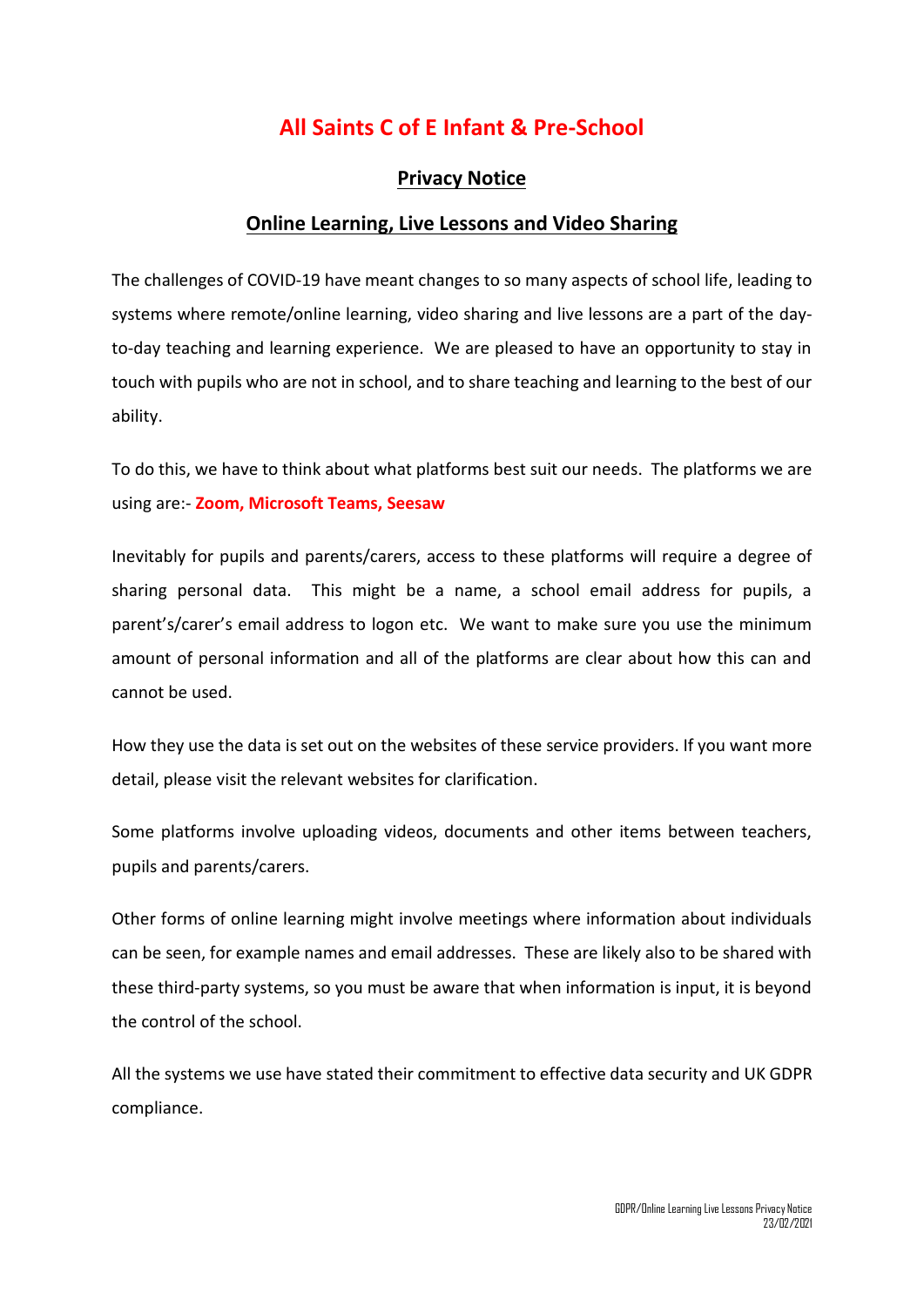# **All Saints C of E Infant & Pre-School**

## **Privacy Notice**

## **Online Learning, Live Lessons and Video Sharing**

The challenges of COVID-19 have meant changes to so many aspects of school life, leading to systems where remote/online learning, video sharing and live lessons are a part of the dayto-day teaching and learning experience. We are pleased to have an opportunity to stay in touch with pupils who are not in school, and to share teaching and learning to the best of our ability.

To do this, we have to think about what platforms best suit our needs. The platforms we are using are:- **Zoom, Microsoft Teams, Seesaw**

Inevitably for pupils and parents/carers, access to these platforms will require a degree of sharing personal data. This might be a name, a school email address for pupils, a parent's/carer's email address to logon etc. We want to make sure you use the minimum amount of personal information and all of the platforms are clear about how this can and cannot be used.

How they use the data is set out on the websites of these service providers. If you want more detail, please visit the relevant websites for clarification.

Some platforms involve uploading videos, documents and other items between teachers, pupils and parents/carers.

Other forms of online learning might involve meetings where information about individuals can be seen, for example names and email addresses. These are likely also to be shared with these third-party systems, so you must be aware that when information is input, it is beyond the control of the school.

All the systems we use have stated their commitment to effective data security and UK GDPR compliance.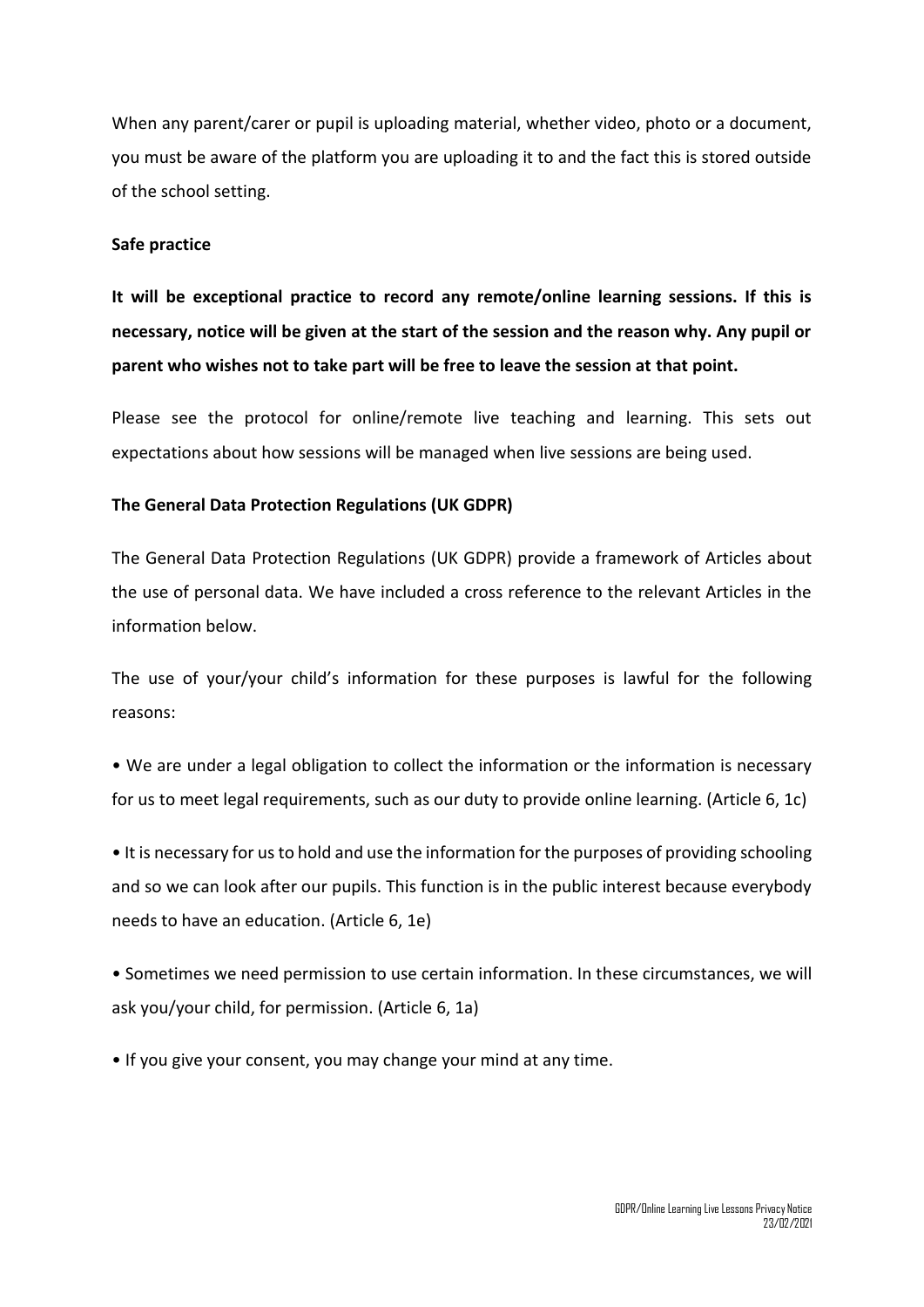When any parent/carer or pupil is uploading material, whether video, photo or a document, you must be aware of the platform you are uploading it to and the fact this is stored outside of the school setting.

#### **Safe practice**

**It will be exceptional practice to record any remote/online learning sessions. If this is necessary, notice will be given at the start of the session and the reason why. Any pupil or parent who wishes not to take part will be free to leave the session at that point.**

Please see the protocol for online/remote live teaching and learning. This sets out expectations about how sessions will be managed when live sessions are being used.

#### **The General Data Protection Regulations (UK GDPR)**

The General Data Protection Regulations (UK GDPR) provide a framework of Articles about the use of personal data. We have included a cross reference to the relevant Articles in the information below.

The use of your/your child's information for these purposes is lawful for the following reasons:

• We are under a legal obligation to collect the information or the information is necessary for us to meet legal requirements, such as our duty to provide online learning. (Article 6, 1c)

• It is necessary for us to hold and use the information for the purposes of providing schooling and so we can look after our pupils. This function is in the public interest because everybody needs to have an education. (Article 6, 1e)

• Sometimes we need permission to use certain information. In these circumstances, we will ask you/your child, for permission. (Article 6, 1a)

• If you give your consent, you may change your mind at any time.